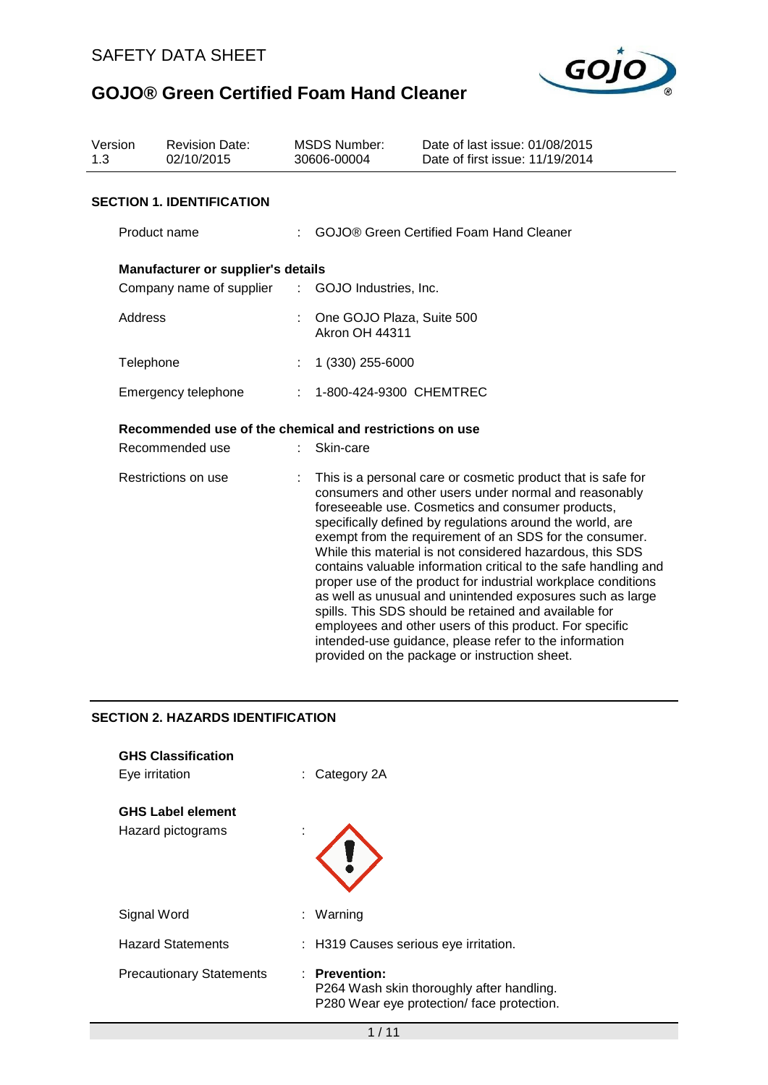

| Version<br>1.3                                          | <b>Revision Date:</b><br>02/10/2015 | <b>MSDS Number:</b><br>30606-00004 |                                                    | Date of last issue: 01/08/2015<br>Date of first issue: 11/19/2014                                                                                                                                                                                                                                                                                                                                                                                                                                                                                                                                                                                                                                                                                                                               |  |  |
|---------------------------------------------------------|-------------------------------------|------------------------------------|----------------------------------------------------|-------------------------------------------------------------------------------------------------------------------------------------------------------------------------------------------------------------------------------------------------------------------------------------------------------------------------------------------------------------------------------------------------------------------------------------------------------------------------------------------------------------------------------------------------------------------------------------------------------------------------------------------------------------------------------------------------------------------------------------------------------------------------------------------------|--|--|
|                                                         | <b>SECTION 1. IDENTIFICATION</b>    |                                    |                                                    |                                                                                                                                                                                                                                                                                                                                                                                                                                                                                                                                                                                                                                                                                                                                                                                                 |  |  |
| Product name                                            |                                     |                                    | <b>GOJO® Green Certified Foam Hand Cleaner</b>     |                                                                                                                                                                                                                                                                                                                                                                                                                                                                                                                                                                                                                                                                                                                                                                                                 |  |  |
|                                                         | Manufacturer or supplier's details  |                                    |                                                    |                                                                                                                                                                                                                                                                                                                                                                                                                                                                                                                                                                                                                                                                                                                                                                                                 |  |  |
|                                                         | Company name of supplier            | ÷.                                 | GOJO Industries, Inc.                              |                                                                                                                                                                                                                                                                                                                                                                                                                                                                                                                                                                                                                                                                                                                                                                                                 |  |  |
| Address                                                 |                                     |                                    | One GOJO Plaza, Suite 500<br><b>Akron OH 44311</b> |                                                                                                                                                                                                                                                                                                                                                                                                                                                                                                                                                                                                                                                                                                                                                                                                 |  |  |
| Telephone                                               |                                     |                                    | 1 (330) 255-6000                                   |                                                                                                                                                                                                                                                                                                                                                                                                                                                                                                                                                                                                                                                                                                                                                                                                 |  |  |
| Emergency telephone                                     |                                     |                                    | 1-800-424-9300 CHEMTREC                            |                                                                                                                                                                                                                                                                                                                                                                                                                                                                                                                                                                                                                                                                                                                                                                                                 |  |  |
| Recommended use of the chemical and restrictions on use |                                     |                                    |                                                    |                                                                                                                                                                                                                                                                                                                                                                                                                                                                                                                                                                                                                                                                                                                                                                                                 |  |  |
|                                                         | Recommended use                     |                                    | Skin-care                                          |                                                                                                                                                                                                                                                                                                                                                                                                                                                                                                                                                                                                                                                                                                                                                                                                 |  |  |
|                                                         | Restrictions on use                 |                                    |                                                    | This is a personal care or cosmetic product that is safe for<br>consumers and other users under normal and reasonably<br>foreseeable use. Cosmetics and consumer products,<br>specifically defined by regulations around the world, are<br>exempt from the requirement of an SDS for the consumer.<br>While this material is not considered hazardous, this SDS<br>contains valuable information critical to the safe handling and<br>proper use of the product for industrial workplace conditions<br>as well as unusual and unintended exposures such as large<br>spills. This SDS should be retained and available for<br>employees and other users of this product. For specific<br>intended-use guidance, please refer to the information<br>provided on the package or instruction sheet. |  |  |

### **SECTION 2. HAZARDS IDENTIFICATION**

| <b>GHS Classification</b><br>Eye irritation   | $\therefore$ Category 2A                                                                                |
|-----------------------------------------------|---------------------------------------------------------------------------------------------------------|
| <b>GHS Label element</b><br>Hazard pictograms | ×.                                                                                                      |
| Signal Word                                   | : Warning                                                                                               |
| <b>Hazard Statements</b>                      | : H319 Causes serious eye irritation.                                                                   |
| <b>Precautionary Statements</b>               | : Prevention:<br>P264 Wash skin thoroughly after handling.<br>P280 Wear eye protection/face protection. |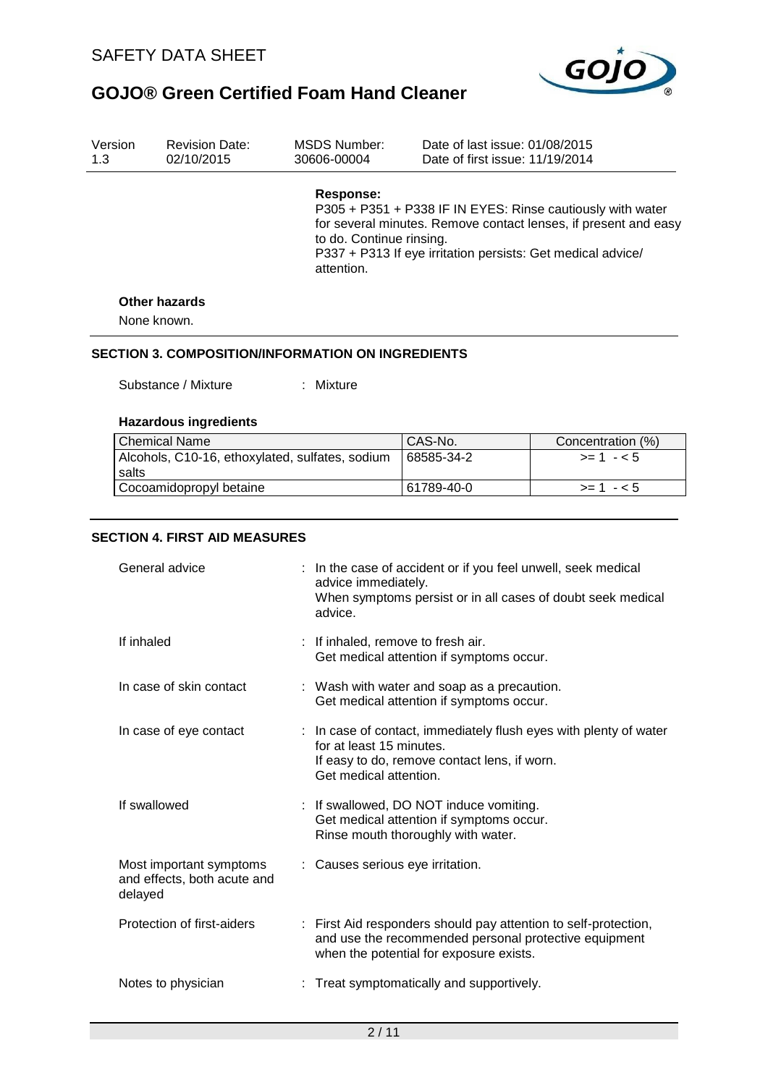

| Version<br>1.3 | <b>Revision Date:</b><br>02/10/2015 | MSDS Number:<br>30606-00004                              | Date of last issue: 01/08/2015<br>Date of first issue: 11/19/2014                                                                                                                            |
|----------------|-------------------------------------|----------------------------------------------------------|----------------------------------------------------------------------------------------------------------------------------------------------------------------------------------------------|
|                |                                     | Response:<br>to do. Continue rinsing.<br>attention.      | P305 + P351 + P338 IF IN EYES: Rinse cautiously with water<br>for several minutes. Remove contact lenses, if present and easy<br>P337 + P313 If eye irritation persists: Get medical advice/ |
|                | Other hazards                       |                                                          |                                                                                                                                                                                              |
| None known.    |                                     |                                                          |                                                                                                                                                                                              |
|                |                                     | <b>SECTION 3. COMPOSITION/INFORMATION ON INGREDIENTS</b> |                                                                                                                                                                                              |

Substance / Mixture : Mixture

### **Hazardous ingredients**

| Chemical Name                                   | CAS-No.    | Concentration (%) |
|-------------------------------------------------|------------|-------------------|
| Alcohols, C10-16, ethoxylated, sulfates, sodium | 68585-34-2 | $> = 1 - 5$       |
| salts                                           |            |                   |
| Cocoamidopropyl betaine                         | 61789-40-0 | $>= 1 - 5$        |

### **SECTION 4. FIRST AID MEASURES**

| General advice                                                    | : In the case of accident or if you feel unwell, seek medical<br>advice immediately.<br>When symptoms persist or in all cases of doubt seek medical<br>advice.          |
|-------------------------------------------------------------------|-------------------------------------------------------------------------------------------------------------------------------------------------------------------------|
| If inhaled                                                        | : If inhaled, remove to fresh air.<br>Get medical attention if symptoms occur.                                                                                          |
| In case of skin contact                                           | : Wash with water and soap as a precaution.<br>Get medical attention if symptoms occur.                                                                                 |
| In case of eye contact                                            | : In case of contact, immediately flush eyes with plenty of water<br>for at least 15 minutes.<br>If easy to do, remove contact lens, if worn.<br>Get medical attention. |
| If swallowed                                                      | : If swallowed, DO NOT induce vomiting.<br>Get medical attention if symptoms occur.<br>Rinse mouth thoroughly with water.                                               |
| Most important symptoms<br>and effects, both acute and<br>delayed | : Causes serious eye irritation.                                                                                                                                        |
| Protection of first-aiders                                        | : First Aid responders should pay attention to self-protection,<br>and use the recommended personal protective equipment<br>when the potential for exposure exists.     |
| Notes to physician                                                | Treat symptomatically and supportively.                                                                                                                                 |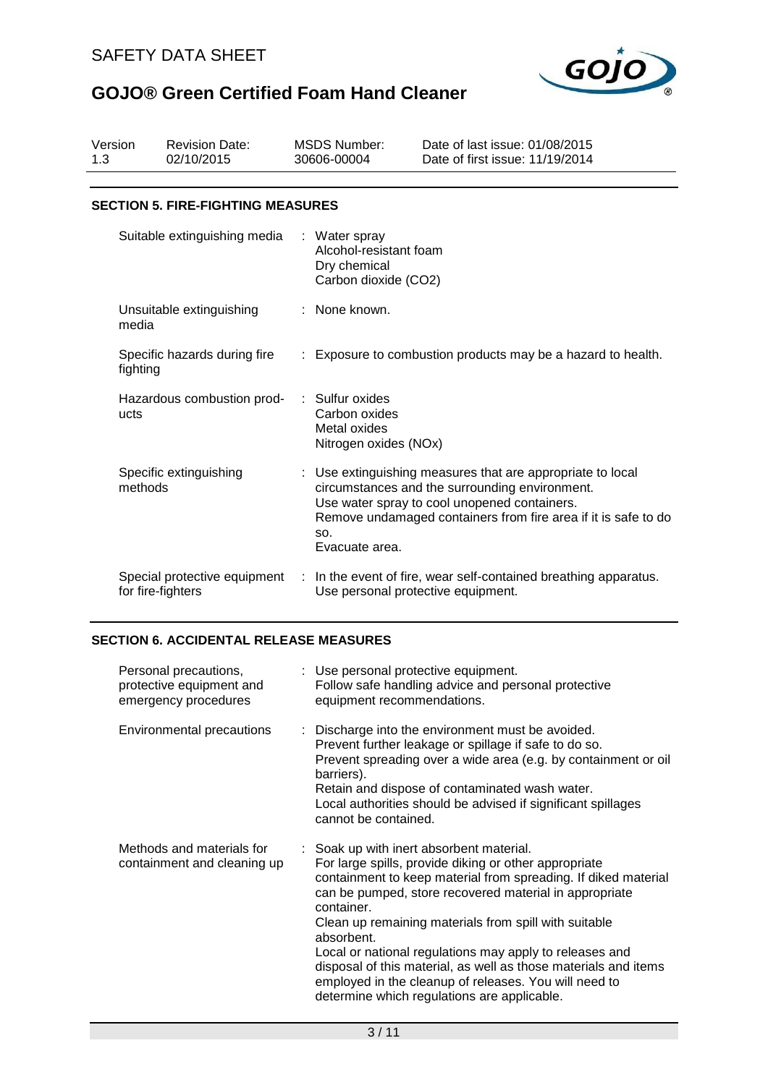

| Version<br>1.3 |                   | <b>Revision Date:</b><br>02/10/2015      |     | <b>MSDS Number:</b><br>30606-00004                                              | Date of last issue: 01/08/2015<br>Date of first issue: 11/19/2014                                                                                                                                                            |
|----------------|-------------------|------------------------------------------|-----|---------------------------------------------------------------------------------|------------------------------------------------------------------------------------------------------------------------------------------------------------------------------------------------------------------------------|
|                |                   | <b>SECTION 5. FIRE-FIGHTING MEASURES</b> |     |                                                                                 |                                                                                                                                                                                                                              |
|                |                   |                                          |     |                                                                                 |                                                                                                                                                                                                                              |
|                |                   | Suitable extinguishing media             |     | : Water spray<br>Alcohol-resistant foam<br>Dry chemical<br>Carbon dioxide (CO2) |                                                                                                                                                                                                                              |
|                | media             | Unsuitable extinguishing                 |     | : None known.                                                                   |                                                                                                                                                                                                                              |
|                | fighting          | Specific hazards during fire             |     |                                                                                 | Exposure to combustion products may be a hazard to health.                                                                                                                                                                   |
|                | ucts              | Hazardous combustion prod-               | ×., | Sulfur oxides<br>Carbon oxides<br>Metal oxides<br>Nitrogen oxides (NOx)         |                                                                                                                                                                                                                              |
|                | methods           | Specific extinguishing                   |     | SO.<br>Evacuate area.                                                           | Use extinguishing measures that are appropriate to local<br>circumstances and the surrounding environment.<br>Use water spray to cool unopened containers.<br>Remove undamaged containers from fire area if it is safe to do |
|                | for fire-fighters | Special protective equipment             | ÷   | Use personal protective equipment.                                              | In the event of fire, wear self-contained breathing apparatus.                                                                                                                                                               |

### **SECTION 6. ACCIDENTAL RELEASE MEASURES**

| Personal precautions,<br>protective equipment and<br>emergency procedures | : Use personal protective equipment.<br>Follow safe handling advice and personal protective<br>equipment recommendations.                                                                                                                                                                                                                                                                                                                                                                                                                                |
|---------------------------------------------------------------------------|----------------------------------------------------------------------------------------------------------------------------------------------------------------------------------------------------------------------------------------------------------------------------------------------------------------------------------------------------------------------------------------------------------------------------------------------------------------------------------------------------------------------------------------------------------|
| Environmental precautions                                                 | : Discharge into the environment must be avoided.<br>Prevent further leakage or spillage if safe to do so.<br>Prevent spreading over a wide area (e.g. by containment or oil<br>barriers).<br>Retain and dispose of contaminated wash water.<br>Local authorities should be advised if significant spillages<br>cannot be contained.                                                                                                                                                                                                                     |
| Methods and materials for<br>containment and cleaning up                  | : Soak up with inert absorbent material.<br>For large spills, provide diking or other appropriate<br>containment to keep material from spreading. If diked material<br>can be pumped, store recovered material in appropriate<br>container.<br>Clean up remaining materials from spill with suitable<br>absorbent.<br>Local or national regulations may apply to releases and<br>disposal of this material, as well as those materials and items<br>employed in the cleanup of releases. You will need to<br>determine which regulations are applicable. |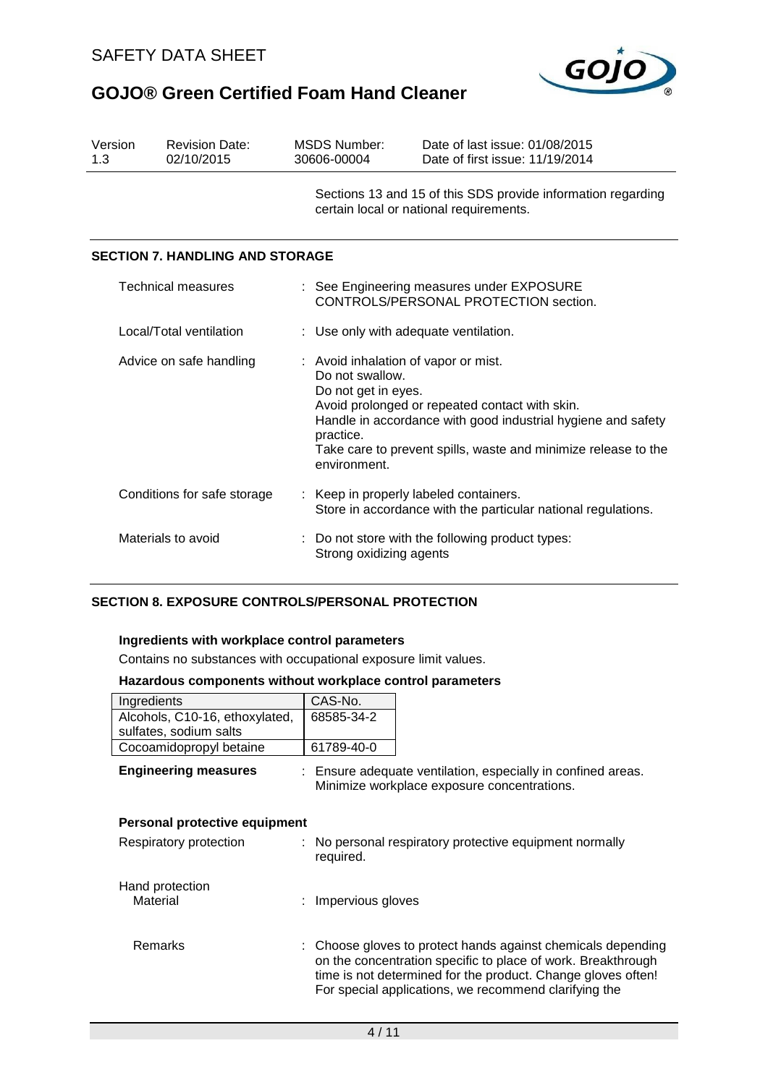

| Version<br>1.3              | <b>Revision Date:</b><br>02/10/2015    | MSDS Number:<br>30606-00004                                                                             | Date of last issue: 01/08/2015<br>Date of first issue: 11/19/2014                                                                                                                                                                                                                  |  |  |  |
|-----------------------------|----------------------------------------|---------------------------------------------------------------------------------------------------------|------------------------------------------------------------------------------------------------------------------------------------------------------------------------------------------------------------------------------------------------------------------------------------|--|--|--|
|                             |                                        |                                                                                                         | Sections 13 and 15 of this SDS provide information regarding<br>certain local or national requirements.                                                                                                                                                                            |  |  |  |
|                             | <b>SECTION 7. HANDLING AND STORAGE</b> |                                                                                                         |                                                                                                                                                                                                                                                                                    |  |  |  |
| <b>Technical measures</b>   |                                        |                                                                                                         | : See Engineering measures under EXPOSURE<br>CONTROLS/PERSONAL PROTECTION section.                                                                                                                                                                                                 |  |  |  |
| Local/Total ventilation     |                                        |                                                                                                         | : Use only with adequate ventilation.                                                                                                                                                                                                                                              |  |  |  |
| Advice on safe handling     |                                        | practice.                                                                                               | : Avoid inhalation of vapor or mist.<br>Do not swallow.<br>Do not get in eyes.<br>Avoid prolonged or repeated contact with skin.<br>Handle in accordance with good industrial hygiene and safety<br>Take care to prevent spills, waste and minimize release to the<br>environment. |  |  |  |
| Conditions for safe storage |                                        | : Keep in properly labeled containers.<br>Store in accordance with the particular national regulations. |                                                                                                                                                                                                                                                                                    |  |  |  |
| Materials to avoid          |                                        |                                                                                                         | : Do not store with the following product types:<br>Strong oxidizing agents                                                                                                                                                                                                        |  |  |  |

### **SECTION 8. EXPOSURE CONTROLS/PERSONAL PROTECTION**

#### **Ingredients with workplace control parameters**

Contains no substances with occupational exposure limit values.

#### **Hazardous components without workplace control parameters**

| Ingredients                    | CAS-No.    |
|--------------------------------|------------|
| Alcohols, C10-16, ethoxylated, | 68585-34-2 |
| sulfates, sodium salts         |            |
| Cocoamidopropyl betaine        | 61789-40-0 |

**Engineering measures** : Ensure adequate ventilation, especially in confined areas. Minimize workplace exposure concentrations.

| Personal protective equipment |  |                                                                                                                                                                                                                                                       |  |  |  |
|-------------------------------|--|-------------------------------------------------------------------------------------------------------------------------------------------------------------------------------------------------------------------------------------------------------|--|--|--|
| Respiratory protection        |  | : No personal respiratory protective equipment normally<br>required.                                                                                                                                                                                  |  |  |  |
| Hand protection<br>Material   |  | : Impervious gloves                                                                                                                                                                                                                                   |  |  |  |
| Remarks                       |  | : Choose gloves to protect hands against chemicals depending<br>on the concentration specific to place of work. Breakthrough<br>time is not determined for the product. Change gloves often!<br>For special applications, we recommend clarifying the |  |  |  |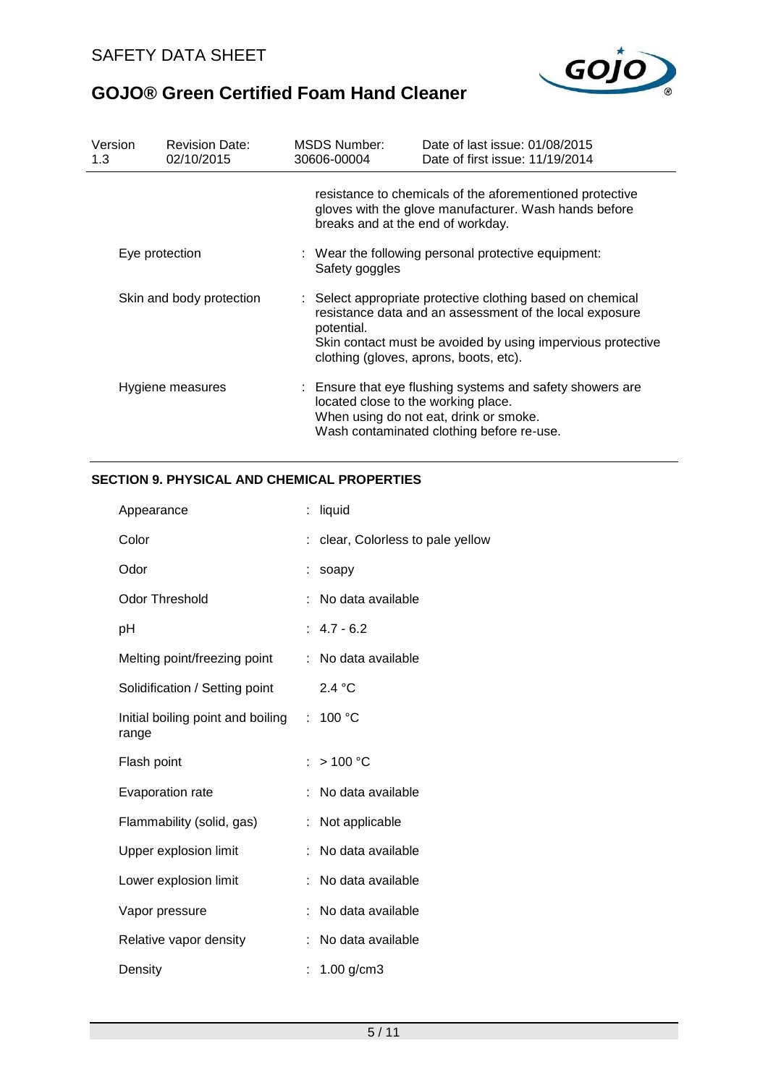

| Version<br>1.3           | <b>Revision Date:</b><br>02/10/2015 | <b>MSDS Number:</b><br>30606-00004                                               | Date of last issue: 01/08/2015<br>Date of first issue: 11/19/2014                                                                                                                                                              |  |  |  |
|--------------------------|-------------------------------------|----------------------------------------------------------------------------------|--------------------------------------------------------------------------------------------------------------------------------------------------------------------------------------------------------------------------------|--|--|--|
|                          |                                     | breaks and at the end of workday.                                                | resistance to chemicals of the aforementioned protective<br>gloves with the glove manufacturer. Wash hands before                                                                                                              |  |  |  |
| Eye protection           |                                     | $\therefore$ Wear the following personal protective equipment:<br>Safety goggles |                                                                                                                                                                                                                                |  |  |  |
| Skin and body protection |                                     | potential.                                                                       | : Select appropriate protective clothing based on chemical<br>resistance data and an assessment of the local exposure<br>Skin contact must be avoided by using impervious protective<br>clothing (gloves, aprons, boots, etc). |  |  |  |
|                          | Hygiene measures                    | located close to the working place.                                              | : Ensure that eye flushing systems and safety showers are<br>When using do not eat, drink or smoke.<br>Wash contaminated clothing before re-use.                                                                               |  |  |  |

### **SECTION 9. PHYSICAL AND CHEMICAL PROPERTIES**

| Appearance                                 | liquid                          |
|--------------------------------------------|---------------------------------|
| Color                                      | clear, Colorless to pale yellow |
| Odor                                       | soapy                           |
| <b>Odor Threshold</b>                      | No data available               |
| рH                                         | $: 4.7 - 6.2$                   |
| Melting point/freezing point               | : No data available             |
| Solidification / Setting point             | 2.4 °C                          |
| Initial boiling point and boiling<br>range | : $100 °C$                      |
| Flash point                                | >100 °C                         |
| Evaporation rate                           | No data available               |
| Flammability (solid, gas)                  | Not applicable                  |
| Upper explosion limit                      | No data available               |
| Lower explosion limit                      | No data available               |
| Vapor pressure                             | No data available               |
| Relative vapor density                     | No data available               |
| Density                                    | $1.00$ g/cm3                    |
|                                            |                                 |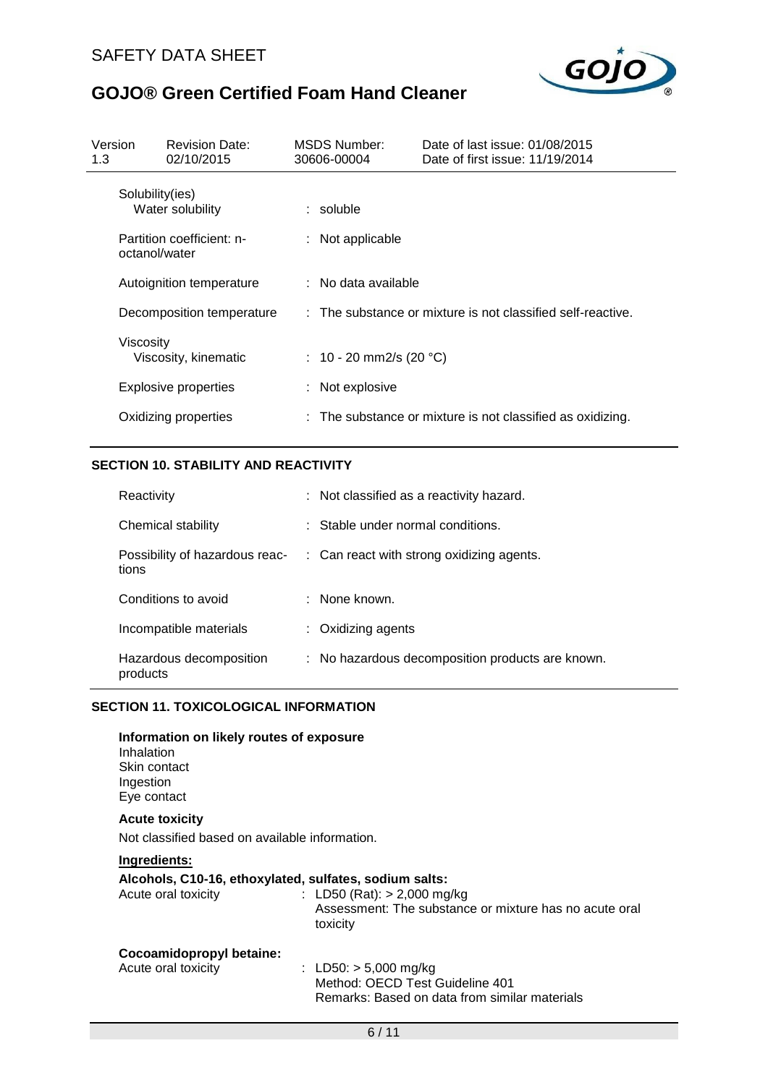

| Version<br>1.3                      | <b>Revision Date:</b><br>02/10/2015        |  | MSDS Number:<br>30606-00004                                 | Date of last issue: 01/08/2015<br>Date of first issue: 11/19/2014 |  |
|-------------------------------------|--------------------------------------------|--|-------------------------------------------------------------|-------------------------------------------------------------------|--|
| Solubility(ies)<br>Water solubility |                                            |  | $:$ soluble                                                 |                                                                   |  |
|                                     | Partition coefficient: n-<br>octanol/water |  | $:$ Not applicable                                          |                                                                   |  |
|                                     | Autoignition temperature                   |  | : No data available                                         |                                                                   |  |
|                                     | Decomposition temperature                  |  | : The substance or mixture is not classified self-reactive. |                                                                   |  |
|                                     | <b>Viscosity</b><br>Viscosity, kinematic   |  | : 10 - 20 mm2/s (20 $^{\circ}$ C)                           |                                                                   |  |
|                                     | Explosive properties                       |  | : Not explosive                                             |                                                                   |  |
|                                     | Oxidizing properties                       |  |                                                             | : The substance or mixture is not classified as oxidizing.        |  |

### **SECTION 10. STABILITY AND REACTIVITY**

| Reactivity                              | : Not classified as a reactivity hazard.             |
|-----------------------------------------|------------------------------------------------------|
| Chemical stability                      | : Stable under normal conditions.                    |
| Possibility of hazardous reac-<br>tions | $\therefore$ Can react with strong oxidizing agents. |
| Conditions to avoid                     | $:$ None known.                                      |
| Incompatible materials                  | $:$ Oxidizing agents                                 |
| Hazardous decomposition<br>products     | : No hazardous decomposition products are known.     |

#### **SECTION 11. TOXICOLOGICAL INFORMATION**

| Information on likely routes of exposure<br>Inhalation<br>Skin contact<br>Ingestion<br>Eye contact |                                                                                                             |
|----------------------------------------------------------------------------------------------------|-------------------------------------------------------------------------------------------------------------|
| <b>Acute toxicity</b>                                                                              |                                                                                                             |
| Not classified based on available information.                                                     |                                                                                                             |
| Ingredients:                                                                                       |                                                                                                             |
| Alcohols, C10-16, ethoxylated, sulfates, sodium salts:<br>Acute oral toxicity                      | : LD50 (Rat): $>$ 2,000 mg/kg<br>Assessment: The substance or mixture has no acute oral<br>toxicity         |
| Cocoamidopropyl betaine:<br>Acute oral toxicity                                                    | : LD50: $> 5,000$ mg/kg<br>Method: OECD Test Guideline 401<br>Remarks: Based on data from similar materials |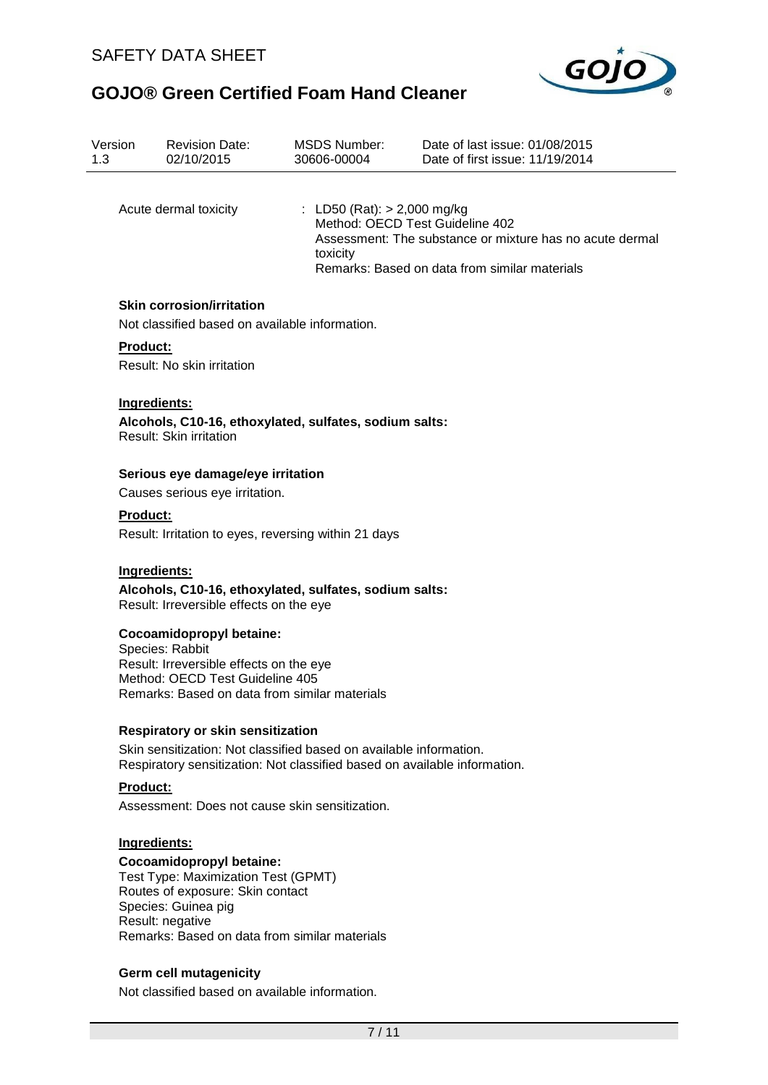

| Version<br>1.3 |                                                                                                                                                 | <b>Revision Date:</b><br>02/10/2015                                        | <b>MSDS Number:</b><br>30606-00004                                                                                                                                                        | Date of last issue: 01/08/2015<br>Date of first issue: 11/19/2014 |  |  |
|----------------|-------------------------------------------------------------------------------------------------------------------------------------------------|----------------------------------------------------------------------------|-------------------------------------------------------------------------------------------------------------------------------------------------------------------------------------------|-------------------------------------------------------------------|--|--|
|                |                                                                                                                                                 |                                                                            |                                                                                                                                                                                           |                                                                   |  |  |
|                |                                                                                                                                                 | Acute dermal toxicity                                                      | : LD50 (Rat): $> 2,000$ mg/kg<br>Method: OECD Test Guideline 402<br>Assessment: The substance or mixture has no acute dermal<br>toxicity<br>Remarks: Based on data from similar materials |                                                                   |  |  |
|                |                                                                                                                                                 | <b>Skin corrosion/irritation</b>                                           |                                                                                                                                                                                           |                                                                   |  |  |
|                |                                                                                                                                                 | Not classified based on available information.                             |                                                                                                                                                                                           |                                                                   |  |  |
|                | Product:                                                                                                                                        |                                                                            |                                                                                                                                                                                           |                                                                   |  |  |
|                |                                                                                                                                                 | Result: No skin irritation                                                 |                                                                                                                                                                                           |                                                                   |  |  |
|                | Ingredients:                                                                                                                                    |                                                                            |                                                                                                                                                                                           |                                                                   |  |  |
|                |                                                                                                                                                 | Result: Skin irritation                                                    | Alcohols, C10-16, ethoxylated, sulfates, sodium salts:                                                                                                                                    |                                                                   |  |  |
|                |                                                                                                                                                 | Serious eye damage/eye irritation                                          |                                                                                                                                                                                           |                                                                   |  |  |
|                | Causes serious eye irritation.                                                                                                                  |                                                                            |                                                                                                                                                                                           |                                                                   |  |  |
|                | <b>Product:</b><br>Result: Irritation to eyes, reversing within 21 days                                                                         |                                                                            |                                                                                                                                                                                           |                                                                   |  |  |
|                |                                                                                                                                                 |                                                                            |                                                                                                                                                                                           |                                                                   |  |  |
|                | Ingredients:                                                                                                                                    | Result: Irreversible effects on the eye                                    | Alcohols, C10-16, ethoxylated, sulfates, sodium salts:                                                                                                                                    |                                                                   |  |  |
|                |                                                                                                                                                 | Cocoamidopropyl betaine:                                                   |                                                                                                                                                                                           |                                                                   |  |  |
|                |                                                                                                                                                 | Species: Rabbit                                                            |                                                                                                                                                                                           |                                                                   |  |  |
|                |                                                                                                                                                 | Result: Irreversible effects on the eye<br>Method: OECD Test Guideline 405 |                                                                                                                                                                                           |                                                                   |  |  |
|                |                                                                                                                                                 | Remarks: Based on data from similar materials                              |                                                                                                                                                                                           |                                                                   |  |  |
|                |                                                                                                                                                 | <b>Respiratory or skin sensitization</b>                                   |                                                                                                                                                                                           |                                                                   |  |  |
|                | Skin sensitization: Not classified based on available information.<br>Respiratory sensitization: Not classified based on available information. |                                                                            |                                                                                                                                                                                           |                                                                   |  |  |
|                | <b>Product:</b>                                                                                                                                 |                                                                            |                                                                                                                                                                                           |                                                                   |  |  |
|                |                                                                                                                                                 | Assessment: Does not cause skin sensitization.                             |                                                                                                                                                                                           |                                                                   |  |  |
|                | Ingredients:                                                                                                                                    |                                                                            |                                                                                                                                                                                           |                                                                   |  |  |
|                |                                                                                                                                                 | Cocoamidopropyl betaine:                                                   |                                                                                                                                                                                           |                                                                   |  |  |
|                |                                                                                                                                                 | Test Type: Maximization Test (GPMT)                                        |                                                                                                                                                                                           |                                                                   |  |  |
|                |                                                                                                                                                 | Routes of exposure: Skin contact<br>Species: Guinea pig                    |                                                                                                                                                                                           |                                                                   |  |  |
|                |                                                                                                                                                 | Result: negative                                                           |                                                                                                                                                                                           |                                                                   |  |  |
|                | Remarks: Based on data from similar materials                                                                                                   |                                                                            |                                                                                                                                                                                           |                                                                   |  |  |

### **Germ cell mutagenicity**

Not classified based on available information.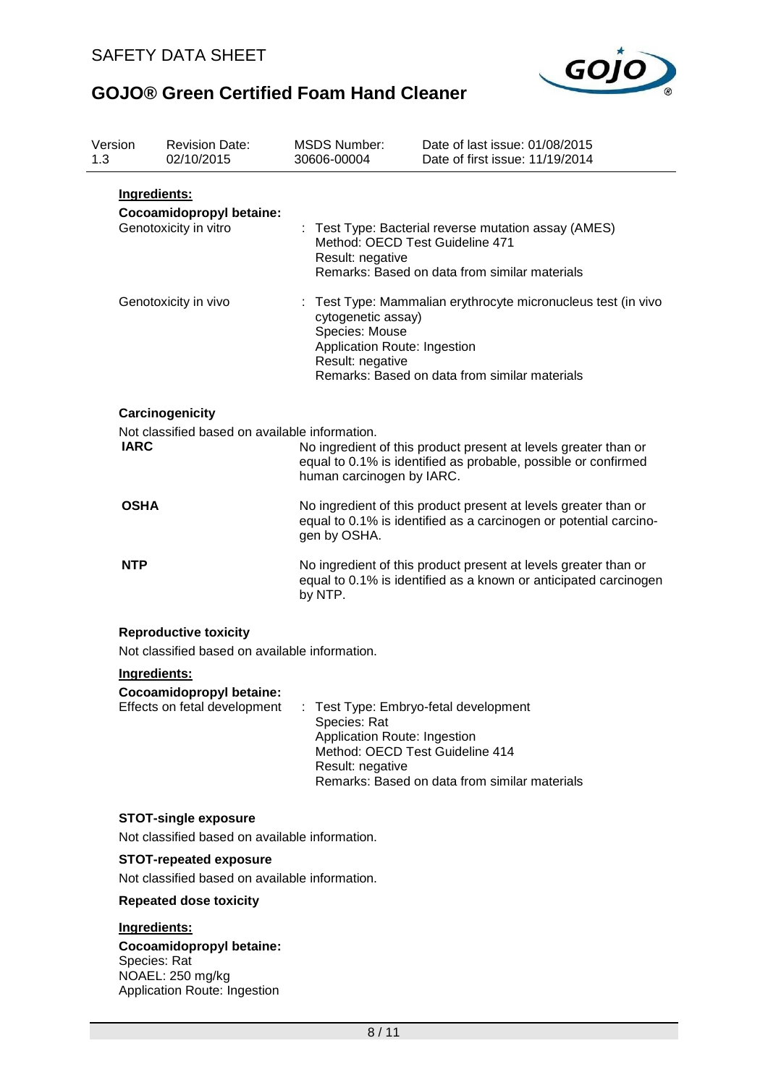

| Version<br>1.3                                                |                                                                   | <b>Revision Date:</b><br>02/10/2015                                          | <b>MSDS Number:</b><br>30606-00004                                                                                                                                                                         | Date of last issue: 01/08/2015<br>Date of first issue: 11/19/2014 |  |  |
|---------------------------------------------------------------|-------------------------------------------------------------------|------------------------------------------------------------------------------|------------------------------------------------------------------------------------------------------------------------------------------------------------------------------------------------------------|-------------------------------------------------------------------|--|--|
|                                                               | Ingredients:<br>Cocoamidopropyl betaine:<br>Genotoxicity in vitro |                                                                              | Test Type: Bacterial reverse mutation assay (AMES)<br>÷.<br>Method: OECD Test Guideline 471<br>Result: negative<br>Remarks: Based on data from similar materials                                           |                                                                   |  |  |
|                                                               | Genotoxicity in vivo                                              |                                                                              | : Test Type: Mammalian erythrocyte micronucleus test (in vivo<br>cytogenetic assay)<br>Species: Mouse<br>Application Route: Ingestion<br>Result: negative<br>Remarks: Based on data from similar materials |                                                                   |  |  |
|                                                               |                                                                   | Carcinogenicity                                                              |                                                                                                                                                                                                            |                                                                   |  |  |
| Not classified based on available information.<br><b>IARC</b> |                                                                   | human carcinogen by IARC.                                                    | No ingredient of this product present at levels greater than or<br>equal to 0.1% is identified as probable, possible or confirmed                                                                          |                                                                   |  |  |
|                                                               | <b>OSHA</b>                                                       |                                                                              | No ingredient of this product present at levels greater than or<br>equal to 0.1% is identified as a carcinogen or potential carcino-<br>gen by OSHA.                                                       |                                                                   |  |  |
|                                                               | <b>NTP</b>                                                        |                                                                              | No ingredient of this product present at levels greater than or<br>equal to 0.1% is identified as a known or anticipated carcinogen<br>by NTP.                                                             |                                                                   |  |  |
|                                                               |                                                                   | <b>Reproductive toxicity</b>                                                 |                                                                                                                                                                                                            |                                                                   |  |  |
|                                                               |                                                                   | Not classified based on available information.                               |                                                                                                                                                                                                            |                                                                   |  |  |
|                                                               | Ingredients:                                                      |                                                                              |                                                                                                                                                                                                            |                                                                   |  |  |
|                                                               | Cocoamidopropyl betaine:<br>Effects on fetal development          |                                                                              | Test Type: Embryo-fetal development<br>Species: Rat<br>Application Route: Ingestion<br>Method: OECD Test Guideline 414<br>Result: negative<br>Remarks: Based on data from similar materials                |                                                                   |  |  |
|                                                               |                                                                   | <b>STOT-single exposure</b>                                                  |                                                                                                                                                                                                            |                                                                   |  |  |
|                                                               |                                                                   | Not classified based on available information.                               |                                                                                                                                                                                                            |                                                                   |  |  |
|                                                               |                                                                   | <b>STOT-repeated exposure</b>                                                |                                                                                                                                                                                                            |                                                                   |  |  |
|                                                               |                                                                   | Not classified based on available information.                               |                                                                                                                                                                                                            |                                                                   |  |  |
|                                                               |                                                                   | <b>Repeated dose toxicity</b>                                                |                                                                                                                                                                                                            |                                                                   |  |  |
|                                                               | Ingredients:<br>Species: Rat                                      | Cocoamidopropyl betaine:<br>NOAEL: 250 mg/kg<br>Application Route: Ingestion |                                                                                                                                                                                                            |                                                                   |  |  |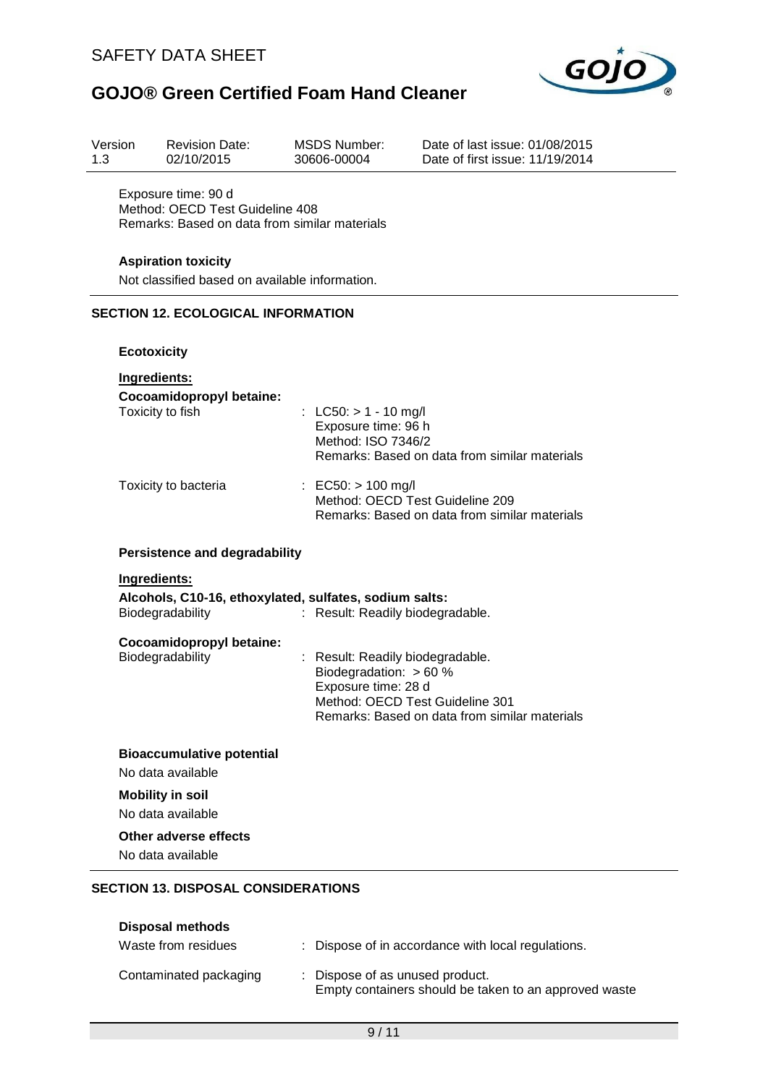

| Version<br>1.3 | <b>Revision Date:</b><br>02/10/2015                                                                     | <b>MSDS Number:</b><br>30606-00004                                                | Date of last issue: 01/08/2015<br>Date of first issue: 11/19/2014                |  |  |  |
|----------------|---------------------------------------------------------------------------------------------------------|-----------------------------------------------------------------------------------|----------------------------------------------------------------------------------|--|--|--|
|                | Exposure time: 90 d<br>Method: OECD Test Guideline 408<br>Remarks: Based on data from similar materials |                                                                                   |                                                                                  |  |  |  |
|                | <b>Aspiration toxicity</b><br>Not classified based on available information.                            |                                                                                   |                                                                                  |  |  |  |
|                | <b>SECTION 12. ECOLOGICAL INFORMATION</b>                                                               |                                                                                   |                                                                                  |  |  |  |
|                | <b>Ecotoxicity</b>                                                                                      |                                                                                   |                                                                                  |  |  |  |
|                | Ingredients:<br>Cocoamidopropyl betaine:<br>Toxicity to fish                                            | : LC50: $> 1 - 10$ mg/l<br>Exposure time: 96 h<br>Method: ISO 7346/2              | Remarks: Based on data from similar materials                                    |  |  |  |
|                | Toxicity to bacteria                                                                                    | : EC50: $> 100$ mg/l                                                              | Method: OECD Test Guideline 209<br>Remarks: Based on data from similar materials |  |  |  |
|                | <b>Persistence and degradability</b>                                                                    |                                                                                   |                                                                                  |  |  |  |
|                | Ingredients:<br>Alcohols, C10-16, ethoxylated, sulfates, sodium salts:<br>Biodegradability              | : Result: Readily biodegradable.                                                  |                                                                                  |  |  |  |
|                | Cocoamidopropyl betaine:<br>Biodegradability                                                            | Result: Readily biodegradable.<br>Biodegradation: $> 60 %$<br>Exposure time: 28 d | Method: OECD Test Guideline 301<br>Remarks: Based on data from similar materials |  |  |  |
|                | <b>Bioaccumulative potential</b><br>No data available                                                   |                                                                                   |                                                                                  |  |  |  |
|                | <b>Mobility in soil</b><br>No data available                                                            |                                                                                   |                                                                                  |  |  |  |
|                | <b>Other adverse effects</b><br>No data available                                                       |                                                                                   |                                                                                  |  |  |  |
|                | <b>SECTION 13. DISPOSAL CONSIDERATIONS</b><br><b>Disposal methods</b>                                   |                                                                                   |                                                                                  |  |  |  |

| Contaminated packaging | : Dispose of as unused product.                       |
|------------------------|-------------------------------------------------------|
|                        | Empty containers should be taken to an approved waste |

Waste from residues : Dispose of in accordance with local regulations.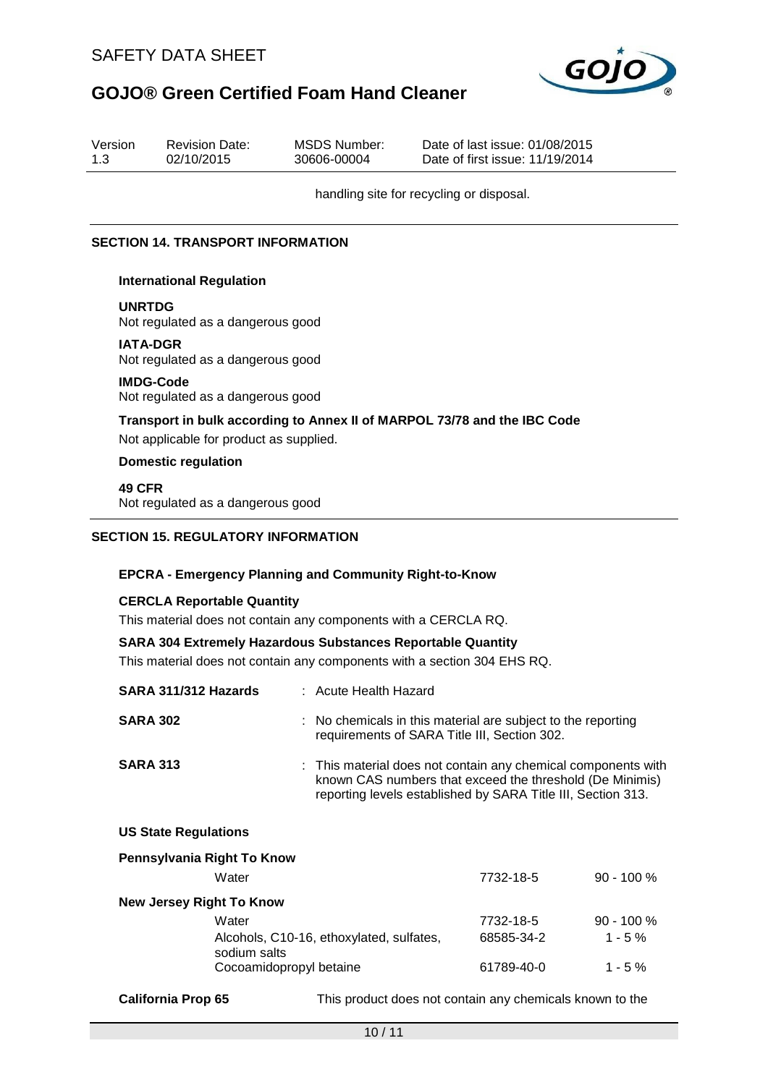

| Version<br>1.3 | <b>Revision Date:</b><br>02/10/2015                   | MSDS Number:<br>30606-00004 | Date of last issue: 01/08/2015<br>Date of first issue: 11/19/2014        |
|----------------|-------------------------------------------------------|-----------------------------|--------------------------------------------------------------------------|
|                |                                                       |                             | handling site for recycling or disposal.                                 |
|                | <b>SECTION 14. TRANSPORT INFORMATION</b>              |                             |                                                                          |
|                | <b>International Regulation</b>                       |                             |                                                                          |
| <b>UNRTDG</b>  | Not regulated as a dangerous good                     |                             |                                                                          |
|                | <b>IATA-DGR</b><br>Not regulated as a dangerous good  |                             |                                                                          |
|                | <b>IMDG-Code</b><br>Not regulated as a dangerous good |                             |                                                                          |
|                | Not applicable for product as supplied.               |                             | Transport in bulk according to Annex II of MARPOL 73/78 and the IBC Code |
|                | <b>Domestic regulation</b>                            |                             |                                                                          |

**49 CFR**

Not regulated as a dangerous good

### **SECTION 15. REGULATORY INFORMATION**

#### **EPCRA - Emergency Planning and Community Right-to-Know**

#### **CERCLA Reportable Quantity**

This material does not contain any components with a CERCLA RQ.

### **SARA 304 Extremely Hazardous Substances Reportable Quantity**

This material does not contain any components with a section 304 EHS RQ.

| SARA 311/312 Hazards            | : Acute Health Hazard                                                                                                                                                                     |            |              |
|---------------------------------|-------------------------------------------------------------------------------------------------------------------------------------------------------------------------------------------|------------|--------------|
| <b>SARA 302</b>                 | : No chemicals in this material are subject to the reporting<br>requirements of SARA Title III, Section 302.                                                                              |            |              |
| <b>SARA 313</b>                 | : This material does not contain any chemical components with<br>known CAS numbers that exceed the threshold (De Minimis)<br>reporting levels established by SARA Title III, Section 313. |            |              |
| <b>US State Regulations</b>     |                                                                                                                                                                                           |            |              |
| Pennsylvania Right To Know      |                                                                                                                                                                                           |            |              |
| Water                           |                                                                                                                                                                                           | 7732-18-5  | $90 - 100 %$ |
| <b>New Jersey Right To Know</b> |                                                                                                                                                                                           |            |              |
| Water                           |                                                                                                                                                                                           | 7732-18-5  | $90 - 100 %$ |
| sodium salts                    | Alcohols, C10-16, ethoxylated, sulfates,                                                                                                                                                  | 68585-34-2 | $1 - 5 \%$   |

**California Prop 65** This product does not contain any chemicals known to the